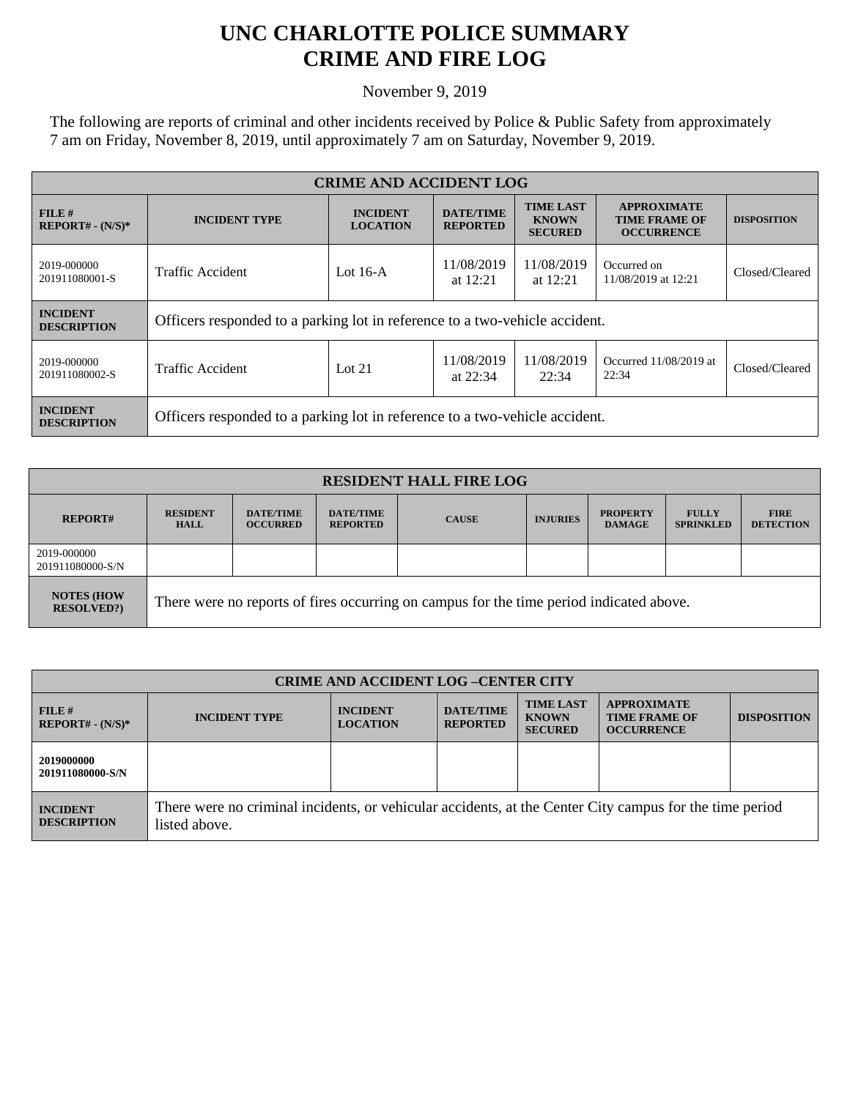## **UNC CHARLOTTE POLICE SUMMARY CRIME AND FIRE LOG**

November 9, 2019

The following are reports of criminal and other incidents received by Police & Public Safety from approximately 7 am on Friday, November 8, 2019, until approximately 7 am on Saturday, November 9, 2019.

| <b>CRIME AND ACCIDENT LOG</b>         |                                                                             |                                    |                                     |                                                    |                                                                 |                    |
|---------------------------------------|-----------------------------------------------------------------------------|------------------------------------|-------------------------------------|----------------------------------------------------|-----------------------------------------------------------------|--------------------|
| FILE H<br>$REPORT# - (N/S)*$          | <b>INCIDENT TYPE</b>                                                        | <b>INCIDENT</b><br><b>LOCATION</b> | <b>DATE/TIME</b><br><b>REPORTED</b> | <b>TIME LAST</b><br><b>KNOWN</b><br><b>SECURED</b> | <b>APPROXIMATE</b><br><b>TIME FRAME OF</b><br><b>OCCURRENCE</b> | <b>DISPOSITION</b> |
| 2019-000000<br>201911080001-S         | Traffic Accident<br>Lot $16-A$<br>at $12:21$                                |                                    | 11/08/2019                          | 11/08/2019<br>at $12:21$                           | Occurred on<br>11/08/2019 at 12:21                              | Closed/Cleared     |
| <b>INCIDENT</b><br><b>DESCRIPTION</b> | Officers responded to a parking lot in reference to a two-vehicle accident. |                                    |                                     |                                                    |                                                                 |                    |
| 2019-000000<br>201911080002-S         | Traffic Accident                                                            | Lot $21$                           | 11/08/2019<br>at $22:34$            | 11/08/2019<br>22:34                                | Occurred 11/08/2019 at<br>22:34                                 | Closed/Cleared     |
| <b>INCIDENT</b><br><b>DESCRIPTION</b> | Officers responded to a parking lot in reference to a two-vehicle accident. |                                    |                                     |                                                    |                                                                 |                    |

| <b>RESIDENT HALL FIRE LOG</b>         |                                                                                         |                                     |                                     |              |                 |                                  |                                  |                                 |
|---------------------------------------|-----------------------------------------------------------------------------------------|-------------------------------------|-------------------------------------|--------------|-----------------|----------------------------------|----------------------------------|---------------------------------|
| <b>REPORT#</b>                        | <b>RESIDENT</b><br><b>HALL</b>                                                          | <b>DATE/TIME</b><br><b>OCCURRED</b> | <b>DATE/TIME</b><br><b>REPORTED</b> | <b>CAUSE</b> | <b>INJURIES</b> | <b>PROPERTY</b><br><b>DAMAGE</b> | <b>FULLY</b><br><b>SPRINKLED</b> | <b>FIRE</b><br><b>DETECTION</b> |
| 2019-000000<br>201911080000-S/N       |                                                                                         |                                     |                                     |              |                 |                                  |                                  |                                 |
| <b>NOTES (HOW</b><br><b>RESOLVED?</b> | There were no reports of fires occurring on campus for the time period indicated above. |                                     |                                     |              |                 |                                  |                                  |                                 |

| <b>CRIME AND ACCIDENT LOG-CENTER CITY</b> |                                                                                                                          |                                    |                                     |                                                    |                                                                 |                    |
|-------------------------------------------|--------------------------------------------------------------------------------------------------------------------------|------------------------------------|-------------------------------------|----------------------------------------------------|-----------------------------------------------------------------|--------------------|
| FILE#<br>$REPORT# - (N/S)*$               | <b>INCIDENT TYPE</b>                                                                                                     | <b>INCIDENT</b><br><b>LOCATION</b> | <b>DATE/TIME</b><br><b>REPORTED</b> | <b>TIME LAST</b><br><b>KNOWN</b><br><b>SECURED</b> | <b>APPROXIMATE</b><br><b>TIME FRAME OF</b><br><b>OCCURRENCE</b> | <b>DISPOSITION</b> |
| 2019000000<br>201911080000-S/N            |                                                                                                                          |                                    |                                     |                                                    |                                                                 |                    |
| <b>INCIDENT</b><br><b>DESCRIPTION</b>     | There were no criminal incidents, or vehicular accidents, at the Center City campus for the time period<br>listed above. |                                    |                                     |                                                    |                                                                 |                    |